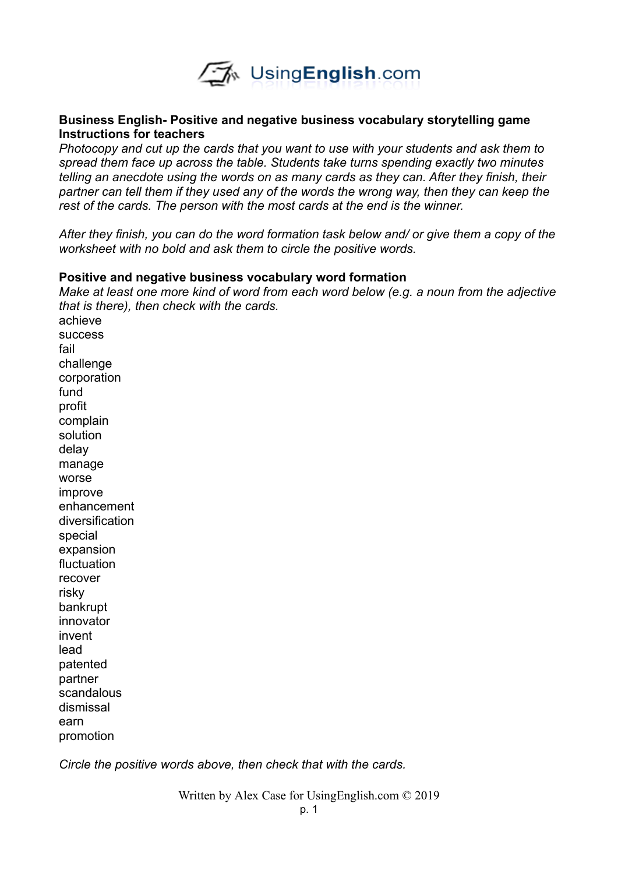

### **Business English- Positive and negative business vocabulary storytelling game Instructions for teachers**

*Photocopy and cut up the cards that you want to use with your students and ask them to spread them face up across the table. Students take turns spending exactly two minutes telling an anecdote using the words on as many cards as they can. After they finish, their partner can tell them if they used any of the words the wrong way, then they can keep the rest of the cards. The person with the most cards at the end is the winner.* 

*After they finish, you can do the word formation task below and/ or give them a copy of the worksheet with no bold and ask them to circle the positive words.* 

#### **Positive and negative business vocabulary word formation**

*Make at least one more kind of word from each word below (e.g. a noun from the adjective that is there), then check with the cards.*  achieve success fail challenge corporation fund profit complain solution delay manage worse improve enhancement diversification special expansion fluctuation recover risky bankrupt innovator invent lead patented partner scandalous dismissal earn promotion

*Circle the positive words above, then check that with the cards.* 

Written by Alex Case for UsingEnglish.com © 2019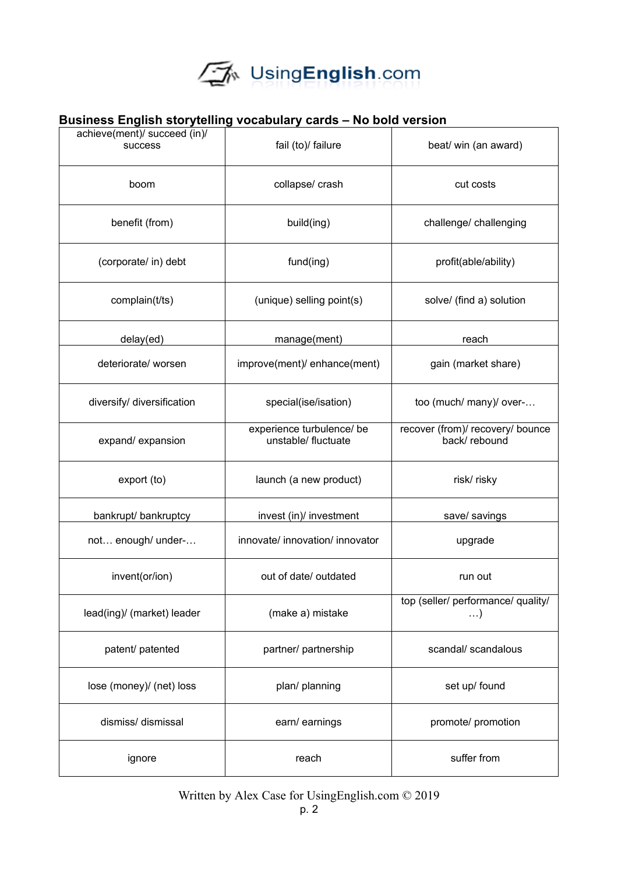

### **Business English storytelling vocabulary cards – No bold version**

| achieve(ment)/ succeed (in)/<br><b>SUCCESS</b> | fail (to)/ failure                               | beat/ win (an award)                             |  |
|------------------------------------------------|--------------------------------------------------|--------------------------------------------------|--|
| boom                                           | collapse/ crash                                  | cut costs                                        |  |
| benefit (from)                                 | build(ing)                                       | challenge/ challenging                           |  |
| (corporate/ in) debt                           | fund(ing)                                        | profit(able/ability)                             |  |
| complain(t/ts)                                 | (unique) selling point(s)                        | solve/ (find a) solution                         |  |
| delay(ed)                                      | manage(ment)                                     | reach                                            |  |
| deteriorate/ worsen                            | improve(ment)/ enhance(ment)                     | gain (market share)                              |  |
| diversify/ diversification                     | special(ise/isation)                             | too (much/ many)/ over-                          |  |
| expand/expansion                               | experience turbulence/ be<br>unstable/ fluctuate | recover (from)/ recovery/ bounce<br>back/rebound |  |
| export (to)                                    | launch (a new product)                           | risk/risky                                       |  |
| bankrupt/ bankruptcy                           | invest (in)/ investment                          | save/ savings                                    |  |
| not enough/ under-                             | innovate/ innovation/ innovator                  | upgrade                                          |  |
| invent(or/ion)                                 | out of date/ outdated                            | run out                                          |  |
| lead(ing)/ (market) leader                     | (make a) mistake                                 | top (seller/ performance/ quality/<br>$\ldots$ ) |  |
| patent/ patented                               | partner/ partnership                             | scandal/ scandalous                              |  |
| lose (money)/ (net) loss                       | plan/ planning                                   | set up/ found                                    |  |
| dismiss/ dismissal                             | earn/ earnings                                   | promote/ promotion                               |  |
| ignore                                         | suffer from<br>reach                             |                                                  |  |

Written by Alex Case for UsingEnglish.com © 2019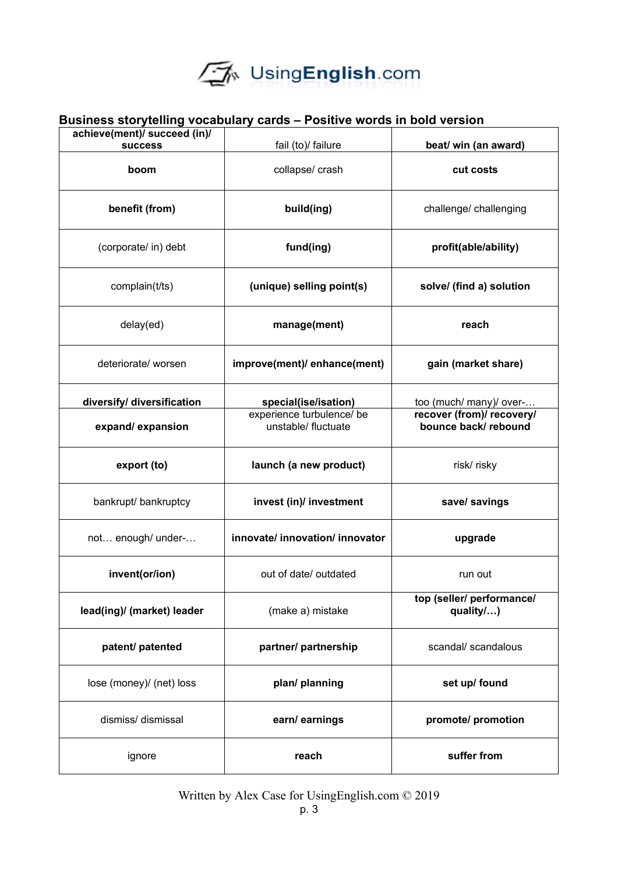# UsingEnglish.com

|                                                | Business storytelling vocabulary cards – Positive words in bold version |                                                                             |  |
|------------------------------------------------|-------------------------------------------------------------------------|-----------------------------------------------------------------------------|--|
| achieve(ment)/ succeed (in)/<br><b>success</b> | fail (to)/ failure                                                      | beat/ win (an award)                                                        |  |
| boom                                           | collapse/ crash                                                         | cut costs                                                                   |  |
| benefit (from)                                 | build(ing)                                                              | challenge/ challenging                                                      |  |
| (corporate/ in) debt                           | fund(ing)                                                               | profit(able/ability)                                                        |  |
| complain(t/ts)                                 | (unique) selling point(s)                                               | solve/ (find a) solution                                                    |  |
| delay(ed)                                      | manage(ment)                                                            | reach                                                                       |  |
| deteriorate/worsen                             | improve(ment)/ enhance(ment)                                            | gain (market share)                                                         |  |
| diversify/ diversification                     | special(ise/isation)                                                    | too (much/ many)/ over-<br>recover (from)/ recovery/<br>bounce back/rebound |  |
| expand/expansion                               | experience turbulence/ be<br>unstable/ fluctuate                        |                                                                             |  |
| export (to)                                    | launch (a new product)                                                  | risk/risky                                                                  |  |
| bankrupt/ bankruptcy                           | invest (in)/ investment                                                 | save/ savings                                                               |  |
| not enough/ under-                             | innovate/ innovation/ innovator                                         | upgrade                                                                     |  |
| invent(or/ion)                                 | out of date/ outdated                                                   | run out                                                                     |  |
| lead(ing)/ (market) leader                     | (make a) mistake                                                        | top (seller/ performance/<br>quality/)                                      |  |
| patent/ patented                               | scandal/ scandalous<br>partner/ partnership                             |                                                                             |  |
| lose (money)/ (net) loss                       | plan/ planning                                                          | set up/ found                                                               |  |
| dismiss/ dismissal                             | earn/earnings                                                           | promote/ promotion                                                          |  |
| ignore                                         | reach                                                                   | suffer from                                                                 |  |

### **Business storytelling vocabulary cards – Positive words in bold version**

Written by Alex Case for UsingEnglish.com © 2019